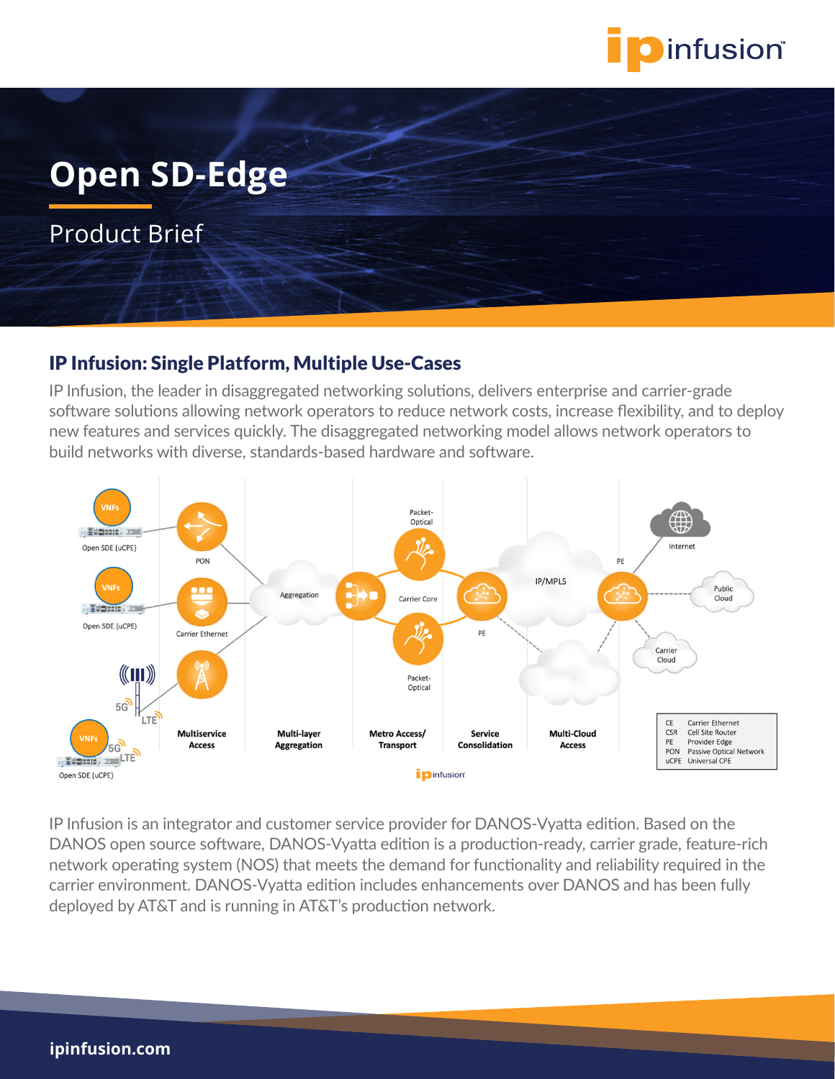

# **Open SD-Edge**

Product Brief

#### IP Infusion: Single Platform, Multiple Use-Cases

IP Infusion, the leader in disaggregated networking solutions, delivers enterprise and carrier-grade software solutions allowing network operators to reduce network costs, increase flexibility, and to deploy new features and services quickly. The disaggregated networking model allows network operators to build networks with diverse, standards-based hardware and software.



IP Infusion is an integrator and customer service provider for DANOS-Vyatta edition. Based on the DANOS open source software, DANOS-Vyatta edition is a production-ready, carrier grade, feature-rich network operating system (NOS) that meets the demand for functionality and reliability required in the carrier environment. DANOS-Vyatta edition includes enhancements over DANOS and has been fully deployed by AT&T and is running in AT&T's production network.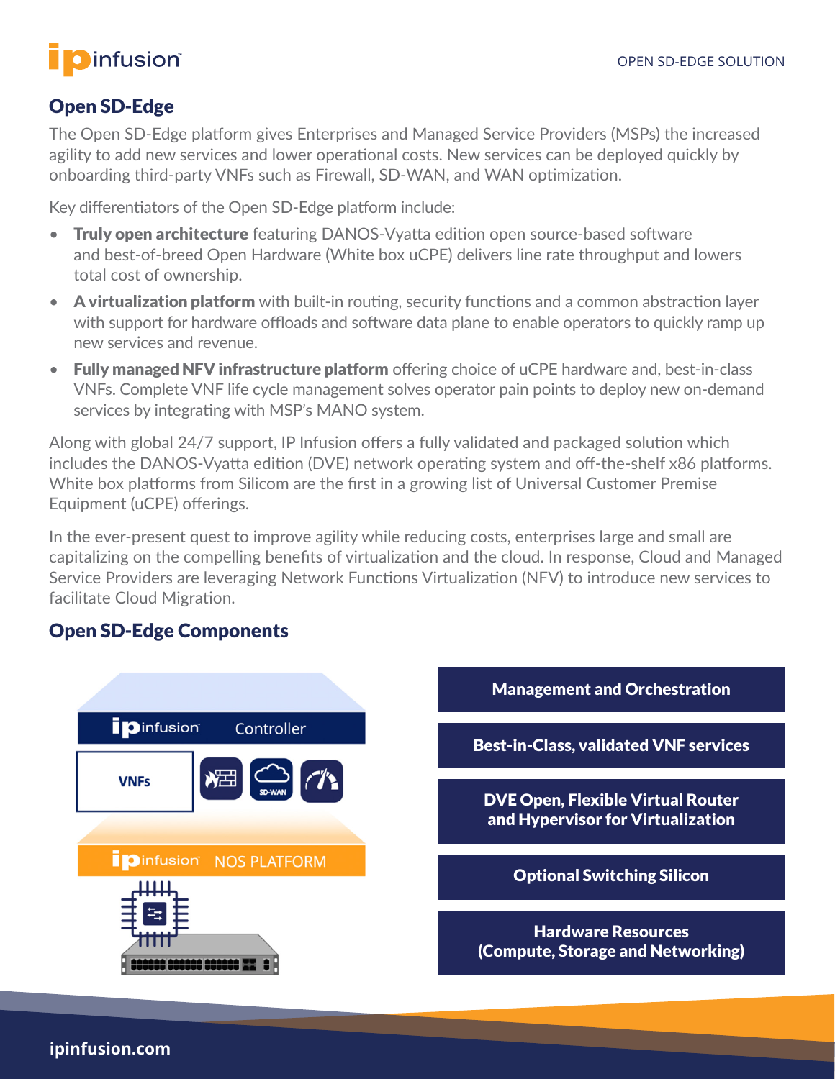## **O**infusion®

## Open SD-Edge

The Open SD-Edge platform gives Enterprises and Managed Service Providers (MSPs) the increased agility to add new services and lower operational costs. New services can be deployed quickly by onboarding third-party VNFs such as Firewall, SD-WAN, and WAN optimization.

Key differentiators of the Open SD-Edge platform include:

- Truly open architecture featuring DANOS-Vyatta edition open source-based software and best-of-breed Open Hardware (White box uCPE) delivers line rate throughput and lowers total cost of ownership.
- A virtualization platform with built-in routing, security functions and a common abstraction layer with support for hardware offloads and software data plane to enable operators to quickly ramp up new services and revenue.
- Fully managed NFV infrastructure platform offering choice of uCPE hardware and, best-in-class VNFs. Complete VNF life cycle management solves operator pain points to deploy new on-demand services by integrating with MSP's MANO system.

Along with global 24/7 support, IP Infusion offers a fully validated and packaged solution which includes the DANOS-Vyatta edition (DVE) network operating system and off-the-shelf x86 platforms. White box platforms from Silicom are the first in a growing list of Universal Customer Premise Equipment (uCPE) offerings.

In the ever-present quest to improve agility while reducing costs, enterprises large and small are capitalizing on the compelling benefits of virtualization and the cloud. In response, Cloud and Managed Service Providers are leveraging Network Functions Virtualization (NFV) to introduce new services to facilitate Cloud Migration.

## Open SD-Edge Components

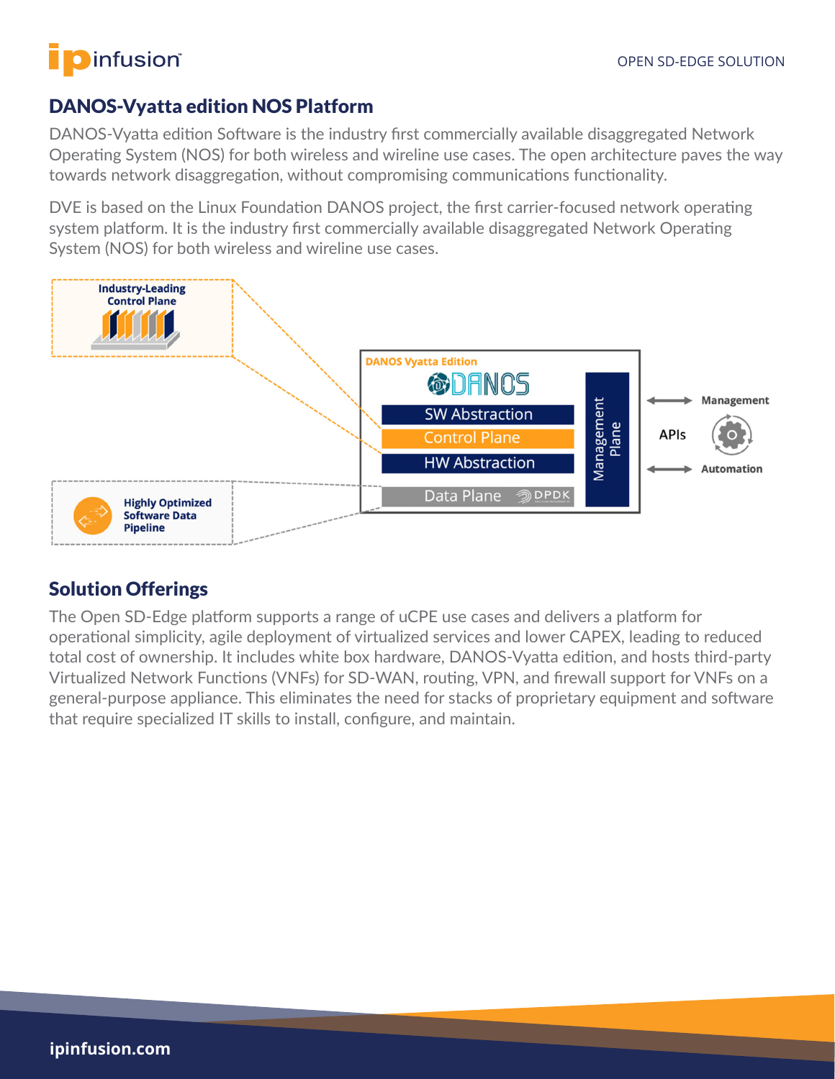# infusion®

### DANOS-Vyatta edition NOS Platform

DANOS-Vyatta edition Software is the industry first commercially available disaggregated Network Operating System (NOS) for both wireless and wireline use cases. The open architecture paves the way towards network disaggregation, without compromising communications functionality.

DVE is based on the Linux Foundation DANOS project, the first carrier-focused network operating system platform. It is the industry first commercially available disaggregated Network Operating System (NOS) for both wireless and wireline use cases.



## Solution Offerings

The Open SD-Edge platform supports a range of uCPE use cases and delivers a platform for operational simplicity, agile deployment of virtualized services and lower CAPEX, leading to reduced total cost of ownership. It includes white box hardware, DANOS-Vyatta edition, and hosts third-party Virtualized Network Functions (VNFs) for SD-WAN, routing, VPN, and firewall support for VNFs on a general-purpose appliance. This eliminates the need for stacks of proprietary equipment and software that require specialized IT skills to install, configure, and maintain.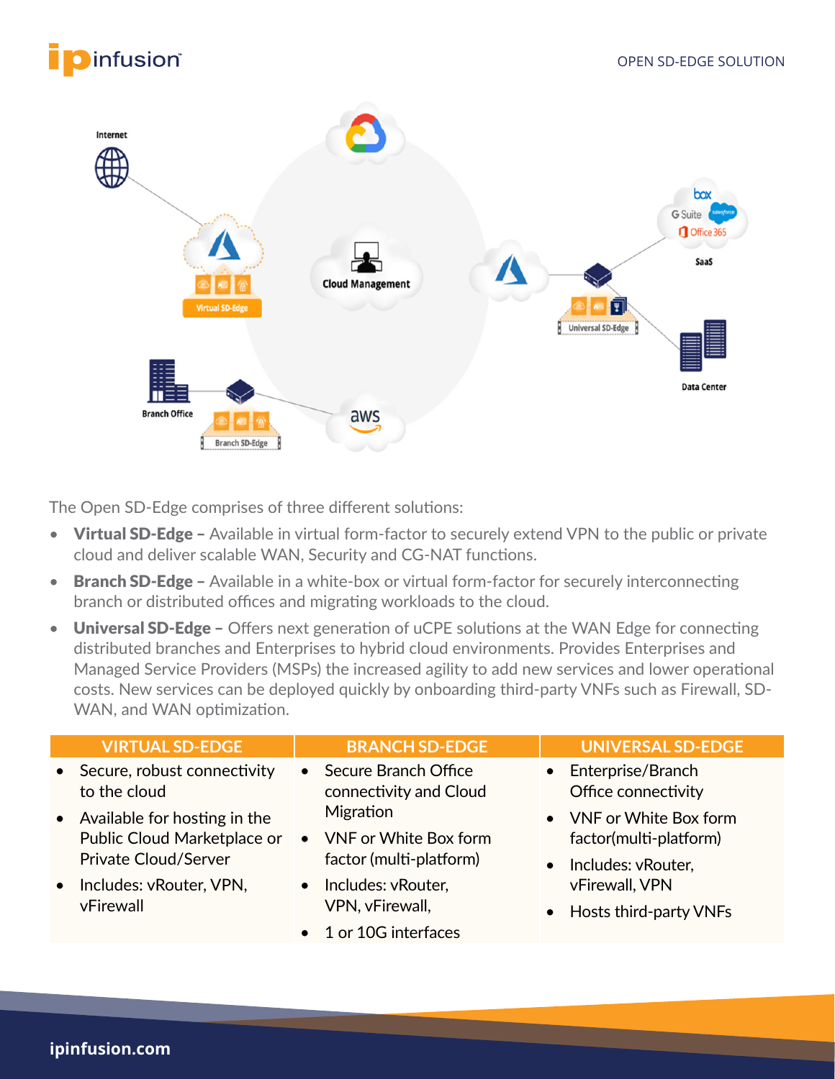



The Open SD-Edge comprises of three different solutions:

- Virtual SD-Edge Available in virtual form-factor to securely extend VPN to the public or private cloud and deliver scalable WAN, Security and CG-NAT functions.
- Branch SD-Edge Available in a white-box or virtual form-factor for securely interconnecting branch or distributed offices and migrating workloads to the cloud.
- Universal SD-Edge Offers next generation of uCPE solutions at the WAN Edge for connecting distributed branches and Enterprises to hybrid cloud environments. Provides Enterprises and Managed Service Providers (MSPs) the increased agility to add new services and lower operational costs. New services can be deployed quickly by onboarding third-party VNFs such as Firewall, SD-WAN, and WAN optimization.

| <b>VIRTUAL SD-EDGE</b>                                                                       | <b>BRANCH SD-EDGE</b>                                           | <b>UNIVERSAL SD-EDGE</b>                                                             |
|----------------------------------------------------------------------------------------------|-----------------------------------------------------------------|--------------------------------------------------------------------------------------|
| • Secure, robust connectivity<br>to the cloud                                                | Secure Branch Office<br>$\bullet$<br>connectivity and Cloud     | • Enterprise/Branch<br>Office connectivity                                           |
| • Available for hosting in the<br>Public Cloud Marketplace or<br><b>Private Cloud/Server</b> | Migration<br>• VNF or White Box form<br>factor (multi-platform) | • VNF or White Box form<br>factor(multi-platform)<br>Includes: vRouter,<br>$\bullet$ |
| Includes: vRouter, VPN,<br>$\bullet$<br>vFirewall                                            | Includes: vRouter,<br>VPN, vFirewall,                           | vFirewall, VPN<br>Hosts third-party VNFs<br>$\bullet$                                |
|                                                                                              | 1 or 10G interfaces                                             |                                                                                      |